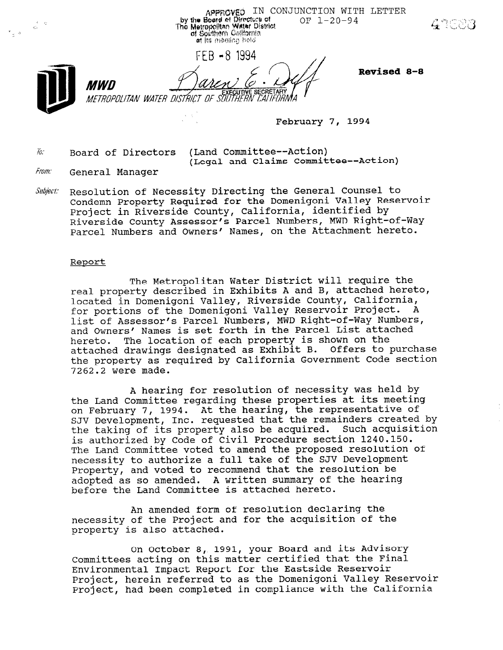್ನಿಸಿ

 $\frac{1}{2}$  ,  $\frac{1}{2}$ 

APPROVED IN CONJUNCTION WITH LETTER by the Board of Directors of<br>The Metropolitan Water District<br>The Metropolitan Water District<br>of Southern California  $OF 1-20-94$ at its meeting held

FFB-8 1994

Revised 8-8

ČAI IFŪRNIA METROPOLITAN WATER DISTRICT OF SÖÜTHER. February 7, 1994

 $\tilde{w}$ : Board of Directors (Land Committee--Action)

MWN

(Legal and Claims Committee--Action)

- **From:** General Manager
- Subject: Resolution of Necessity Directing the General Counsel to Condemn Property Required for the Domenigoni Valley Reservoir Project in Riverside County, California, identified by Riverside County Assessor's Parcel Numbers, MWD Right-of-Parcel Numbers and Owners' Names, on the Attachment hereto.

#### Report

The Metropolitan Water District will require the real property described in Exhibits A and B, attached hereto, located in Domenigoni Valley, Riverside County, California, for portions of the Domenigoni Valley Reservoir Project. A list of Assessor's Parcel Numbers, MWD Right-of-Way Numbers, and Owners' Names is set forth in the Parcel List attached hereto. The location of each property is shown on the attached drawings designated as Exhibit B. Offers to purchase the property as required by California Government Code section 7262.2 were made.

A hearing for resolution of necessity was held by the Land Committee regarding these properties at its meeting on February 7, 1994. At the hearing, the representative of ON PEDIUALY 7, 1994. At the neuting, the representative or<br>SIV Dovelopment. Inc. requested that the remainders created by the taking of its property also be acquired. Such acquisition is authorized by Code of Civil Procedure section 1240.150. The Land Committee voted to amend the proposed resolution of necessity to authorize a full take of the SJV Development Property, and voted to recommend that the resolution be adopted as so amended. A written summary of the hearing before the Land Committee is attached hereto.

An amended form of resolution declaring the All difficuted for the acquisition of the property of the Project<br>mecessity of the Project

On October 8, 1991, your Board and its Advisory Committees acting on this matter certified that the Final Environmental Impact Report for the Eastside Reservoir Project, herein referred to as the Domenigoni Valley Reservoir Project, had been completed in compliance with the California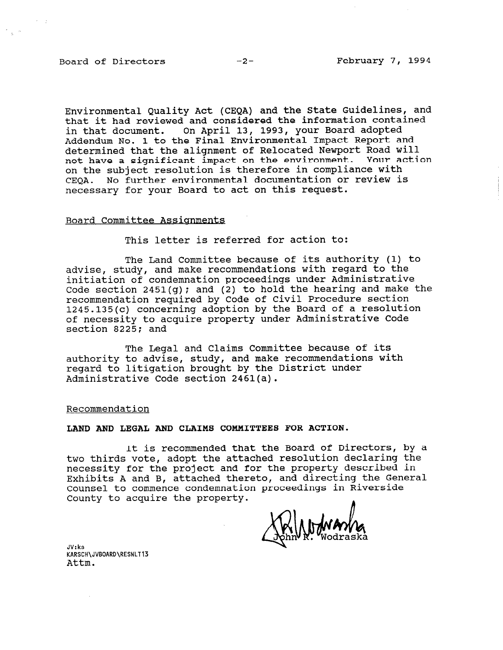Environmental Quality Act (CEQA) and the State Guidelines, and that it had reviewed and considered the information contained in that document. On April 13, 1993, your Board adopted Addendum No. 1 to the Final Environmental Impact Report and determined that the alignment of Relocated Newport Road will not have a significant impact on the environment. Your action on the subject resolution is therefore in compliance with CEQA. No further environmental documentation or review is necessary for your Board to act on this request.

#### Board Committee Assiqnments

This letter is referred for action to:

The Land Committee because of its authority (1) to advise, study, and make recommendations with regard to the initiation of condemnation proceedings under Administrative Code section 2451(g); and (2) to hold the hearing and make the recommendation required by Code of Civil Procedure section 1245.135(c) concerning adoption by the Board of a resolution of necessity to acquire property under Administrative Code section 8225; and

The Legal and Claims Committee because of its authority to advise, study, and make recommendations with regard to litigation brought by the District under Administrative Code section 2461(a).

Recommendation

LAND AND LEGAL AND CLAIMS COMMITTEES FOR ACTION.

It is recommended that the Board of Directors, by a two thirds vote, adopt the attached resolution declaring the necessity for the project and for the property described in Exhibits A and B, attached thereto, and directing the General Counsel to commence condemnation proceedings in Riverside County to acquire the property.

JV: ks JV:KS<br>KARSCH\JVBOARD\R<br>7 + t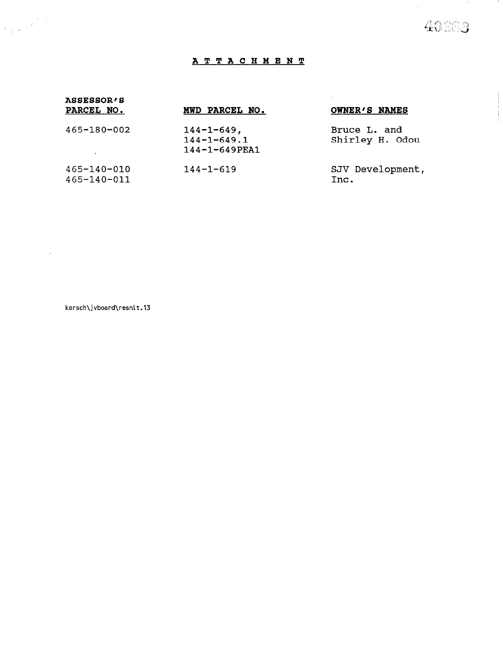# 40009

 $\sim$ 

 $\sim 10^{-1}$ 

1990).<br>19

 $\sim$ 

# ATTACHMENT

| ASSESSOR'S<br>PARCEL NO.         | MWD PARCEL NO.                                                 | OWNER'S NAMES                   |
|----------------------------------|----------------------------------------------------------------|---------------------------------|
| 465-180-002                      | $144 - 1 - 649$ ,<br>$144 - 1 - 649.1$<br>$144 - 1 - 649$ PEA1 | Bruce L. and<br>Shirley H. Odou |
| $465 - 140 - 010$<br>465-140-011 | $144 - 1 - 619$                                                | SJV Development,<br>Inc.        |

karsch\jvboard\resnlt.13

 $\mathcal{L}(\mathcal{A})$  and  $\mathcal{L}(\mathcal{A})$ 

 $\label{eq:2} \begin{pmatrix} 1 & 1 \\ 1 & 2 \end{pmatrix}$   $\begin{pmatrix} 1 & 1 \\ 1 & 2 \end{pmatrix}$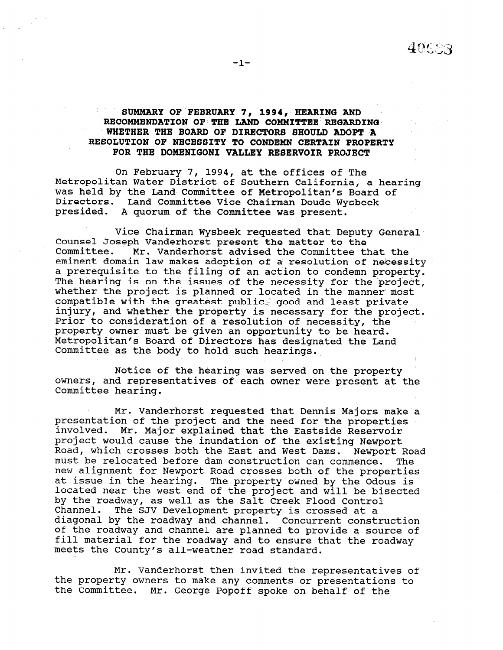### SUMMARY OF FEBRUARY 7, 1994, HEARING AND RECOMMENDATION OF THE LAND COMMITTEE REGARDING WHETHER THE BOARD OF DIRECTORS SHOULD ADOPT A RESOLUTION OF NECESSITY TO CONDEMN CERTAIN PROPERTY FOR THE DOMENIGONI VALLEY RESERVOIR PROJECT

On February 7, 1994, at the offices of The Metropolitan Water District of Southern California, a hearing was held by the Land Committee of Metropolitan's Board of Directors. Land Committee Vice Chairman Doude Wysbeek presided. A quorum of the Committee was present.

Vice Chairman Wysbeek requested that Deputy General Counsel Joseph Vanderhorst present the matter to the Committee. Mr. Vanderhorst advised the Committee that the eminent domain law makes adoption of a resolution of necessity a prerequisite to the filing of an action to condemn property. The hearing is on the issues of the necessity for the project, whether the project is planned or located in the manner most compatible with the greatest public: good and least private injury, and whether the property is necessary for the project. Prior to consideration of a resolution of necessity, the property owner must be given an opportunity to be heard. Metropolitan's Board of Directors has designated the Land Committee as the body to hold such hearings.

Notice of the hearing was served on the property owners, and representatives of each owner were present at the Committee hearing.

Mr. Vanderhorst requested that Dennis Majors make a presentation of the project and the need for the properties involved. Mr. Major explained that the Eastside Reservoir project would cause the inundation of the existing Newport Road, which crosses both the East and West Dams. Newport Road must be relocated before dam construction can commence. The must be refocated before dam construction can commence. The properties of the properties at issue in the hearing. The property owned by the Odous is at issue in the hearing. The property owned by the Odous i by the roadway, as well as the Salt Creek Flood Control by the roadway, as well as the Salt Creek Flood Control Channel. The SJV Development property is crossed at a diagonal by the roadway and channel. Concurrent construction of the roadway and channel are planned to provide a source of fill material for the roadway and to ensure that the roadway meets the County's all-weather road standard.

Mr. Vanderhorst then invited the representatives of nt. vandernorst then invited the representatives or property of property of property  $\alpha$ the property owners to make any comments or presentations to<br>the Committee. Mr. George Popoff spoke on behalf of the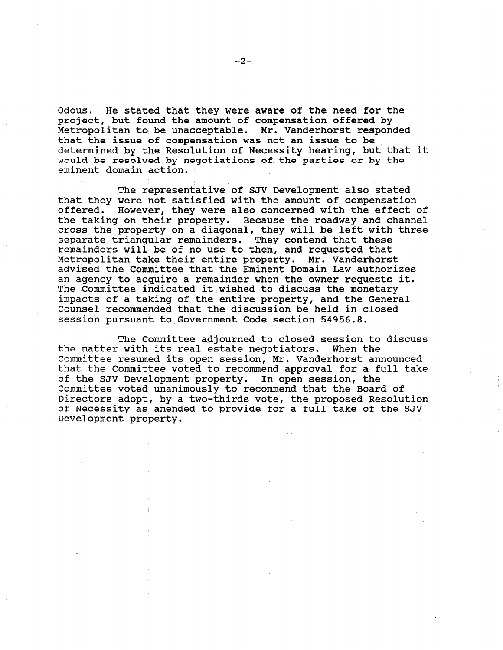Odous. He stated that they were aware of the need for the project, but found the amount of compensation offered by Metropolitan to be unacceptable. Mr. Vanderhorst responded that the issue of compensation was not an issue to be determined by the Resolution of Necessity hearing, but that it would be resolved by negotiations of the parties or by the eminent domain action.

The representative of SJV Development also stated that they were not satisfied with the amount of compensation offered. However, they were also concerned with the effect of the taking on their property. Because the roadway and channel cross the property on a diagonal, they will be left with three separate triangular remainders. They contend that these remainders will be of no use to them, and requested that staalineer wood no de in de ee diem, die beggebeed en<br>Metropolitan take their entire property. Mr. Vanderhou advised the Committee that the Eminent Domain Law authorizes an agency to acquire a remainder when the owner requests it. The 'Committee indicated it wished to discuss the monetary impacts of a taking of the entire property, and the General Counsel recommended that the discussion be held in closed session pursuant to Government Code section 54956.8.

The Committee adjourned to closed session to discuss the matter with its real estate negotiators. When the Committee resumed its open session, Mr. Vanderhorst announced that the Committee voted to recommend approval for a full take of the SJV Development property. In open session, the Committee voted unanimously to recommend that the Board of Directors adopt, by a two-thirds vote, the proposed Resolution of Necessity as amended to provide for a full take of the SJV Development property.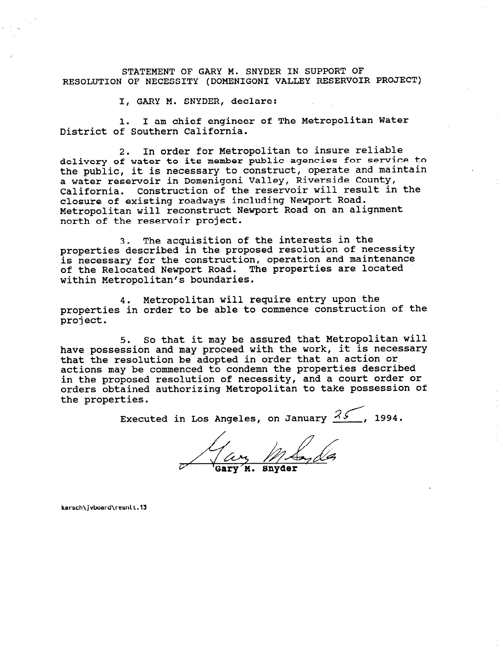STATEMENT OF GARY M. SNYDER IN SUPPORT OF RESOLUTION OF NECESSITY (DOMENIGONI VALLEY RESERVOIR PROJECT)

I, GARY M. SNYDER, declare:

1. I am chief engineer of The Metropolitan Water District of Southern California.

2. In order for Metropolitan to insure reliable delivery of water to its member public agencies for service to the public, it is necessary to construct, operate and maintain a water reservoir in Domenigoni Valley, Riverside County, California. Construction of the reservoir will result in the closure of existing roadways including Newport Road. Metropolitan will reconstruct Newport Road on an alignment north of the reservoir project.

3. The acquisition of the interests in the properties described in the proposed resolution of necessity is necessary for the construction, operation and maintenance of the Relocated Newport Road. The properties are located within Metropolitan's boundaries.

4. Metropolitan will require entry upon the properties in order to be able to commence construction of the project.

5. So that it may be assured that Metropolitan will have possession and may proceed with the work, it is necessary that the resolution be adopted in order that an action or. actions may be commenced to condemn the properties described in the proposed resolution of necessity, and a court order or orders obtained authorizing Metropolitan to take possession of the properties.

Executed in Los Angeles, on January  $35$ , 1994.

Gary

karsch\jvbard\resnlt.13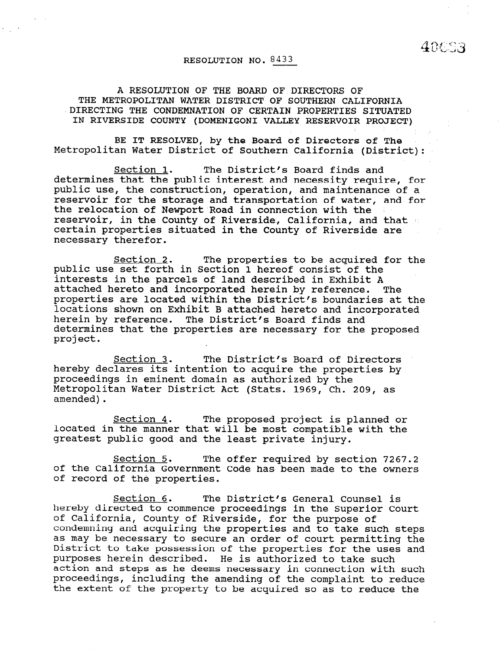### RESOLUTION NO. 8433

 $40003$ 

A RESOLUTION OF THE BOARD OF DIRECTORS OF THE METROPOLITAN WATER DISTRICT OF SOUTHERN CALIFORNIA 'DIRECTING THE CONDEMNATION OF CERTAIN PROPERTIES SITUATED IN RIVERSIDE COUNTY (DOMENIGONI VALLEY RESERVOIR PROJECT)

BE IT RESOLVED, by the Board of Directors of The Metropolitan Water District of Southern California (District):

Section 1. The District's Board finds and determines that the public interest and necessity require, for public use, the construction, operation, and maintenance of a reservoir for the storage and transportation of water, and for the relocation of Newport Road in connection with the reservoir, in the County of Riverside, California, and that 8' certain properties situated in the County of Riverside are necessary therefor.

Section 2. The properties to be acquired for the public use set forth in Section 1 hereof consist of the interests in the parcels of land described in Exhibit A attached hereto and incorporated herein by reference. The properties are located within the District's boundaries at the locations shown on Exhibit B attached hereto and incorporated herein by reference. The District's Board finds and determines that the properties are necessary for the proposed project.

Section 3. The District's Board of Directors hereby declares its intention to acquire the properties by proceedings in eminent domain as authorized by the Metropolitan Water District Act (Stats. 1969, Ch. 209, as amended).

Section 4. The proposed project is planned or located in the manner that will be most compatible with the greatest public good and the least private injury.

Section 5. The offer required by section 7267.2 of the California Government Code has been made to the owners of record of the properties.

Section 6. The District's General Counsel is hereby directed to commence proceedings in the Superior Court of California, County of Riverside, for the purpose of of california, county of kiverside, for the purpose of condemning and acquiring the properties and to take such steps as may be necessary to secure an order of court permitting the<br>District to take possession of the properties for the uses and pistrict to take possession of the properties for the use purposes nerein described. He is authorized to take such such action and steps as he deems necessary in connection with such proceedings, including the amending of the complaint to reduce the extent of the property to be acquired so as to reduce the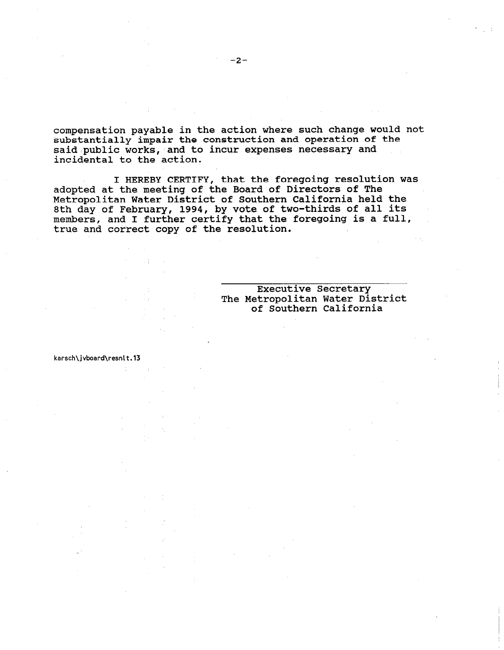compensation payable in the action where such change would not substantially impair the construction and operation of the said public works, and to incur expenses necessary and incidental to the action.

I HEREBY CERTIFY, that the foregoing resolution was adopted at the meeting of the Board of Directors of The Metropolitan Water District of Southern California held the 8th day of February, 1994, by vote of two-thirds of all its members, and I further certify that the foregoing is a full, true and correct copy of the resolution.

#### Executive Secretary The Metropolitan Water District of Southern California

karsch\jvboard\resnlt.13

 $\sim$  1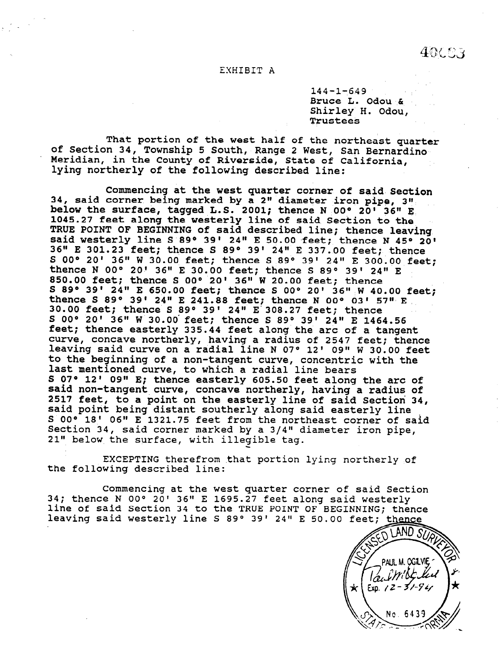40003

#### EXHIBIT A

 $144 - 1 - 649$ Bruce L. Odou & Shirley H. Odou, Trustees

That portion of the west half of the northeast quarter of Section 34, Township 5 South, Range 2 West, San Bernardi Meridian, in the County of Riverside, State of Califor lying northerly of the following described line:

Commencing at the west quarter corner of said'section 34, said corner being marked by a 2" diameter iron pipe, 3" below the surface, tagged L.S. 2001; thence N OO" 20' 36" E 1045.27 feet along the westerly line of said Section to the TRUE POINT OF BEGINNING of said described line; thence leaving said westerly line S 89° 39' 24" E 50.00 feet; thence N 45° 20' 36" E 301.23 feet; thence S 89° 39' 24" E 337.00 feet; thence S 00° 20' 36" W 30.00 feet; thence S 89° 39' 24" E 300.00 feet: thence N 00° 20' 36" E 30.00 feet; thence S 89° 39' 24" E 850.00 feet; thence S OO" 20' 36" W 20.00 feet; thence S 89° 39' 24" E 650.00 feet; thence S 00° 20' 36" W 40.00 feet; thence S 89° 39' 24" E 241.88 feet; thence N 00° 03' 57" E 30.00 feet; thence S 89° 39' 24" E 308.27 feet; thence S 00° 20' 36" W 30.00 feet; thence S 89° 39' 24" E 1464.56 feet; thence easterly 335.44 feet along'the arc of a tangent curve, concave northerly, having a radius of 2547 feet; thence leaving said curve on a radial line N 07° 12' 09" W 30.00 feet to the beginning of a non-tangent curve, concentric with the last mentioned curve, to which a radial line bears S 07° 12' 09" E; thence easterly 605.50 feet along the arc of said non-tangent curve, concave northerly, having a radius of 2517 feet, to a point on the easterly line of said Section 34, said point being distant southerly along said easterly line S OO" 18' 06" E 1321.75 feet from the northeast corner of said Section 34, said corner marked by a 3/4" diameter iron pipe, 21" below the surface, with illegible tag.

EXCEPTING therefrom that portion lying northerly of the following described line:

Commencing at the west quarter corner of said Section 34; thence N OO" 20' 36" E 1695.27 feet along said westerly line of said Section 34 to the TRUE POINT OF BEGINNING; thence leaving said westerly line S 89° 39' 24" E 50.00 feet; thence

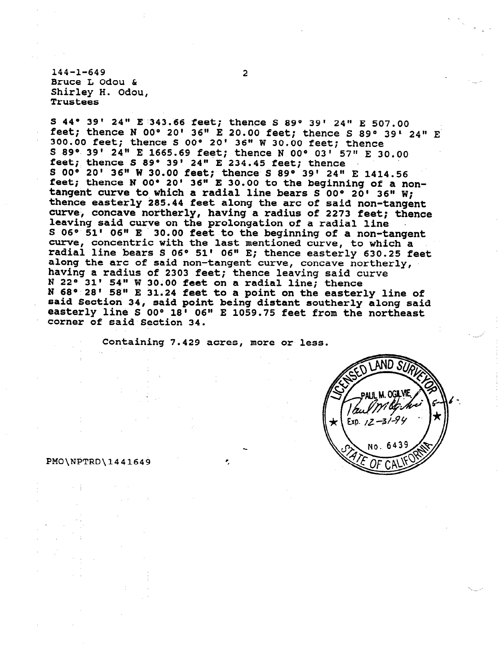$144 - 1 - 649$  2 Bruce L Odou & Shirley H. Odou, Trustees

S 44° 39' 24" E 343.66 feet; thence S 89° 39' 24" E 507.00 feet; thence N 00° 20' 36" E 20.00 feet; thence S 89° 39' 24" E 300.00 feet; thence S OO" 20' 36" W 30.00 feet; thence S 89° 39' 24" E 1665.69 feet; thence N 00° 03' 57" E 30.00 feet; thence S 89° 39' 24" E 234.45 feet; thence S 00° 20' 36" W 30.00 feet; thence S 89° 39' 24" E 1414.56 feet; thence N 00° 20' 36" E 30.00 to the beginning of a nontangent curve to which a radial line bears S 00° 20' 36" W; thence easterly 285.44 feet along the arc of said non-tangent curve, concave northerly, having a radius of 2273 feet; thence leaving said curve on the prolongation of a radial line S 06° 51' 06" E 30.00 feet to the beginning of a non-tangent curve, concentric with the last mentioned curve, to which a radial line bears S 06° 51' 06" E; thence easterly 630.25 feet along the arc of said non-tangent curve, concave northerly, having a radius of 2303 feet; thence leaving said curve N 22 $\degree$  31' 54" W 30.00 feet on a radial line; thence N 68° 28' 58" E 31.24 feet to a point on the easterly line of said Section 34, said point being distant southerly along said easterly line S 00° 18' 06" E 1059.75 feet from the northeast corner of said Section 34.

Containing 7.429 acres, more or less.

,



#### PMO\NPTRD\1441649 .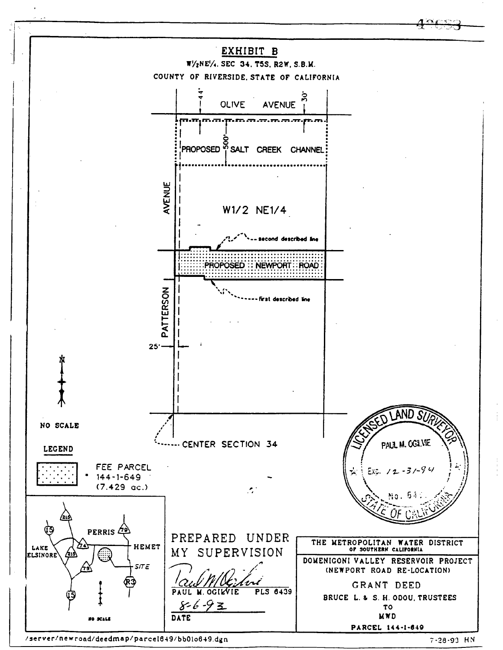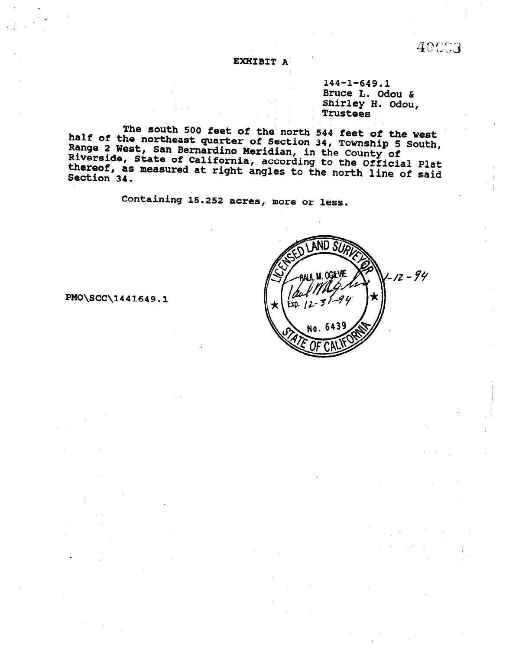EXHIBIT A

144-1-649.1 Bruce L. Odou & Shirley H. Odou, Trustees

40003

The south 500 feet of the north 544 feet of the west half of the northeast quarter of Section 34, Township 5 South, ne et the northeast quarter or Section 34, Township 5<br>Range 2 West, San Bernardino Meridian, in the County of ways I wase, San Bernardino meridian, in the County of<br>Riverside, State of California, according to the Official Plat<br>thereof, as measured at right angles in thereof, as measured at right angles to the north line of said<br>Section 34.

Containing 15.252 acres, more or less.



PMO\SCC\1441649.1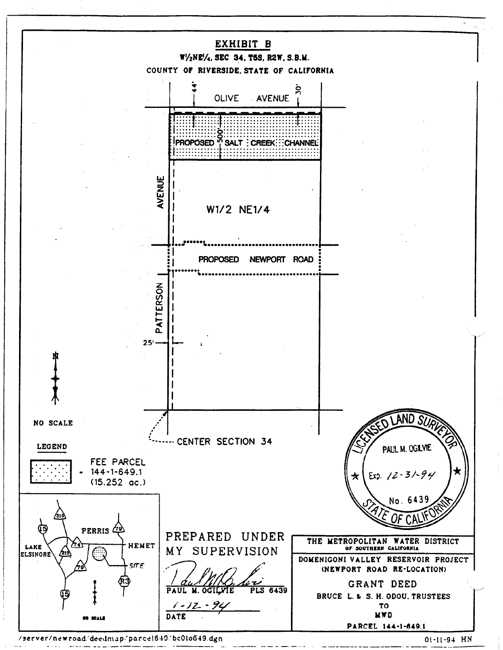

/server/newroad/deedmap/parce1649/bc01o649.dgn

01-11-94 HN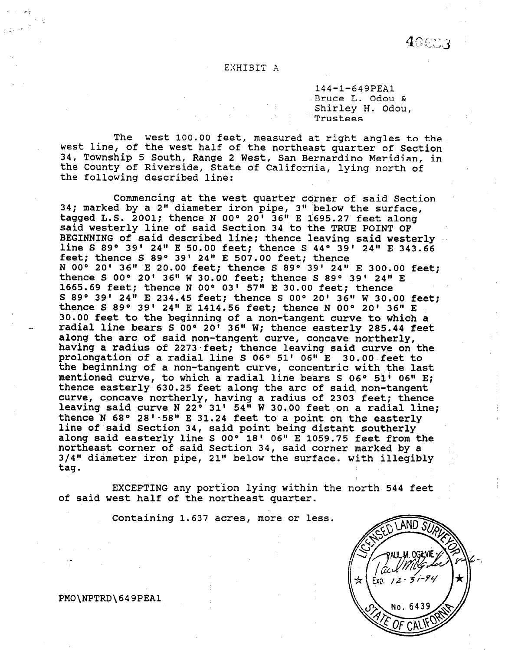#### EXHIBIT A

144-l-649PEAl Bruce L. Odou & Shirley H. Odou, 'Trustees

The west 100.00 feet, measured at right angles to the west line, of the west half of the northeast quarter of Section 34, Township 5 South, Range 2 West, San Bernardino Meridian, in the County of Riverside, State of California, lying north of the following described line:

Commencing at the west quarter corner of said Section 34; marked by a 2" diameter iron pipe, 3" below the surface, tagged L.S. 2001; thence N OO" 20' 36" E 1695.27 feet along said westerly line of said Section 34 to the TRUE POINT OF BEGINNING of said described line thence leaving sold wester line G 800 30.<br>Dratnning of : 24" E 50.00 feet: thence S 440.201.24" E 342.66 line S 89° 39' 24" E 50.00 feet; thence S 44° 39' 24" E 343.66 feet; thence S 89° 39' 24" E 507.00 feet; thence 1886; Chence 5 89° 39' 24" E 507.00 feet; thence<br>N 008 301 364 F 30 00 feet: thence 6 898 391 344 F 399 99 feed n ou' zu' jo" e zu.ou leet; thence 5 89' 39' 24" e 300.00<br>thence S 000 301 36" W 30.00 feet: thence 3,000 301 01" r thence S 00° 20' 36" W 30.00 feet; thence S 89° 39' 24" E 1665.69 feet; thence N 00° 03' 57" E 30.00 feet; thence 5 89° 39' 24" E 234.45 feet; thence S 00° 20' 36" W 30.00 feet; thence S 89° 39' 24" E 1414.56 feet; thence N 00° 20' 36" E 30.00 feet to the beginning of a non-tangent curve to which a radial line bears S 00° 20' 36" W; thence easterly 285.44 feet along the arc of said non-tangent curve, concave northerly, having a radius of 2273 feet; thence leaving said curve on the prolongation of a radial line S 06° 51' 06" E 30.00 feet to the beginning of a non-tangent curve, concentric with the last mentioned curve, to which a radial line bears S  $06^\circ$  51'  $06^\circ$  E; thence easterly 630.25 feet along the arc of said non-tangent curve, concave northerly, having a radius of 2303 feet; thence<br>leaving said curve N 22° 31' 54" W 30.00 feet on a radial line; thence  $N$  68° 28' 58" E 31.24 feet to a point on the easterly line of said Section 34, said point being distant southerly along said easterly line S 00° 18' 06" E 1059.75 feet from the northeast corner of said Section 34, said corner marked by a 3/4" diameter iron pipe, 21" below the surface. with illegibly taq.

EXCEPTING any portion lying within the north 544 feet of said west half of the northeast quarter.

EXCEPTING any portion lying with  $\mathcal{L}_\mathcal{F}$  and  $\mathcal{L}_\mathcal{F}$  feet in the north  $\mathcal{L}_\mathcal{F}$ 

Containing 1.637 acres, more or less.

Containing 1.637 acres, more or less.



PMO\NPTRD\649PEA1

PMO\NPTRD\649PEAl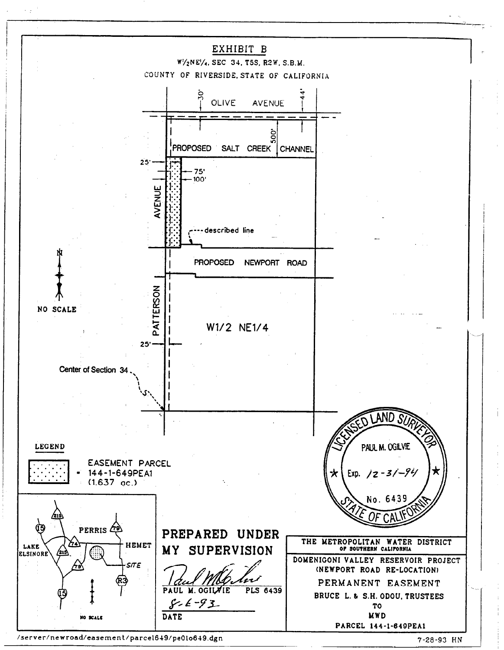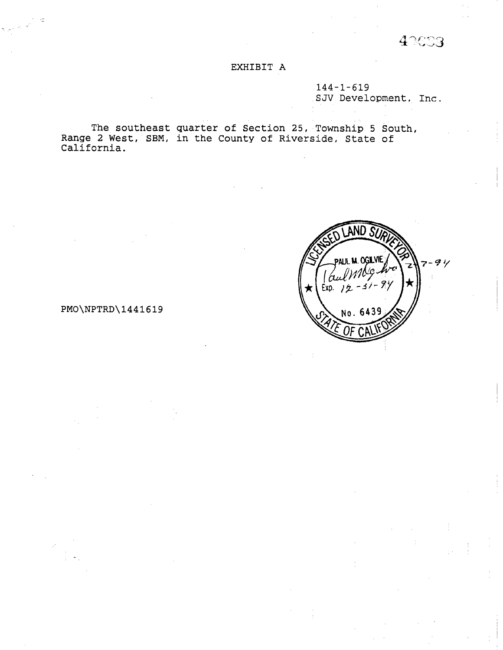42003

# EXHIBIT A

144-l-619 SJV Development, Inc.

The southeast quarter of Section 25, Township 5 South Range 2 West, SBM, in the County of Riverside, State of California.



## PMO\NPTRD\1441619